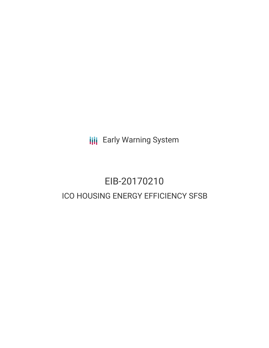**III** Early Warning System

# EIB-20170210 ICO HOUSING ENERGY EFFICIENCY SFSB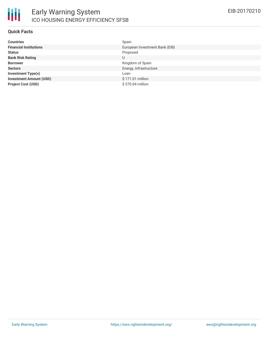

#### **Quick Facts**

| <b>Countries</b>               | Spain                          |
|--------------------------------|--------------------------------|
| <b>Financial Institutions</b>  | European Investment Bank (EIB) |
| <b>Status</b>                  | Proposed                       |
| <b>Bank Risk Rating</b>        | U                              |
| <b>Borrower</b>                | Kingdom of Spain               |
| <b>Sectors</b>                 | Energy, Infrastructure         |
| <b>Investment Type(s)</b>      | Loan                           |
| <b>Investment Amount (USD)</b> | \$171.01 million               |
| <b>Project Cost (USD)</b>      | \$570.04 million               |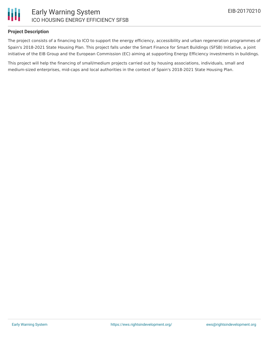

## Early Warning System ICO HOUSING ENERGY EFFICIENCY SFSB

#### **Project Description**

The project consists of a financing to ICO to support the energy efficiency, accessibility and urban regeneration programmes of Spain's 2018-2021 State Housing Plan. This project falls under the Smart Finance for Smart Buildings (SFSB) Initiative, a joint initiative of the EIB Group and the European Commission (EC) aiming at supporting Energy Efficiency investments in buildings.

This project will help the financing of small/medium projects carried out by housing associations, individuals, small and medium-sized enterprises, mid-caps and local authorities in the context of Spain's 2018-2021 State Housing Plan.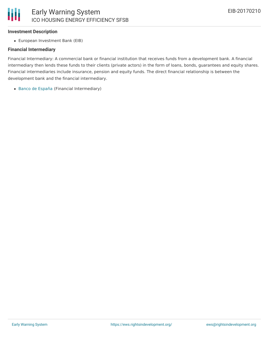### **Investment Description**

European Investment Bank (EIB)

### **Financial Intermediary**

Financial Intermediary: A commercial bank or financial institution that receives funds from a development bank. A financial intermediary then lends these funds to their clients (private actors) in the form of loans, bonds, guarantees and equity shares. Financial intermediaries include insurance, pension and equity funds. The direct financial relationship is between the development bank and the financial intermediary.

Banco de [España](file:///actor/1175/) (Financial Intermediary)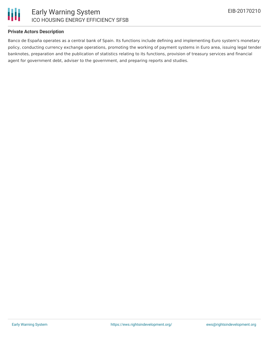

### **Private Actors Description**

Banco de España operates as a central bank of Spain. Its functions include defining and implementing Euro system's monetary policy, conducting currency exchange operations, promoting the working of payment systems in Euro area, issuing legal tender banknotes, preparation and the publication of statistics relating to its functions, provision of treasury services and financial agent for government debt, adviser to the government, and preparing reports and studies.